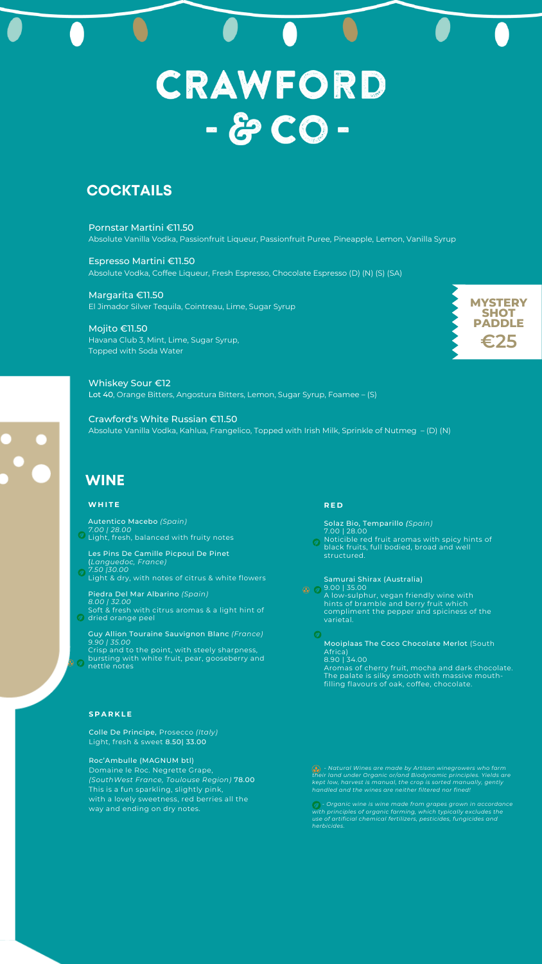Pornstar Martini €11.50 Absolute Vanilla Vodka, Passionfruit Liqueur, Passionfruit Puree, Pineapple, Lemon, Vanilla Syrup

Espresso Martini €11.50 Absolute Vodka, Coffee Liqueur, Fresh Espresso, Chocolate Espresso (D) (N) (S) (SA)

Margarita €11.50 El Jimador Silver Tequila, Cointreau, Lime, Sugar Syrup

Mojito €11.50 Havana Club 3, Mint, Lime, Sugar Syrup, Topped with Soda Water

Whiskey Sour €12 Lot 40, Orange Bitters, Angostura Bitters, Lemon, Sugar Syrup, Foamee – (S)

Crawford's White Russian €11.50 Absolute Vanilla Vodka, Kahlua, Frangelico, Topped with Irish Milk, Sprinkle of Nutmeg – (D) (N)

Autentico Macebo *(Spain) 7.00 | 28.00 O* Light, fresh, balanced with fruity notes

Piedra Del Mar Albarino *(Spain) 8.00 | 32.00* Soft & fresh with citrus aromas & a light hint of **D** dried orange peel

> *- Natural Wines are made by Artisan winegrowers who farm their land under Organic or/and Biodynamic principles. Yields are kept low, harvest is manual, the crop is sorted manually, gently handled and the wines are neither filtered nor fined!*

*- Organic wine is wine made from grapes grown in accordance with principles of organic farming, which typically excludes the use of artificial chemical fertilizers, pesticides, fungicides and herbicides.*

# CRAWFORD - & CO -

# **COCKTAILS**

# **WINE**



# **WH I T E**

Les Pins De Camille Picpoul De Pinet (*Languedoc, France) 7.50 |30.00* Light & dry, with notes of citrus & white flowers

Guy Allion Touraine Sauvignon Blanc *(France) 9.90 | 35.00* Crisp and to the point, with steely sharpness, bursting with white fruit, pear, gooseberry and nettle notes

# **R E D**

 $\boldsymbol{O}$ 

Solaz Bio, Temparillo *(Spain)* 7.00 | 28.00 **Q** Noticible red fruit aromas with spicy hints of black fruits, full bodied, broad and well

structured.

Samurai Shirax (Australia)  $\bigcirc$   $\bigcirc$  9.00 | 35.00 A low-sulphur, vegan friendly wine with

> hints of bramble and berry fruit which compliment the pepper and spiciness of the varietal.

Mooiplaas The Coco Chocolate Merlot (South Africa) 8.90 | 34.00 Aromas of cherry fruit, mocha and dark chocolate.

The palate is silky smooth with massive mouthfilling flavours of oak, coffee, chocolate.

# **S P A R K L E**

 $\boldsymbol{O}$ 

Colle De Principe, Prosecco *(Italy)* Light, fresh & sweet 8.50| 33.00

Roc'Ambulle (MAGNUM btl) Domaine le Roc. Negrette Grape, *(SouthWest France, Toulouse Region)* 78.00 This is a fun sparkling, slightly pink, with a lovely sweetness, red berries all the way and ending on dry notes.